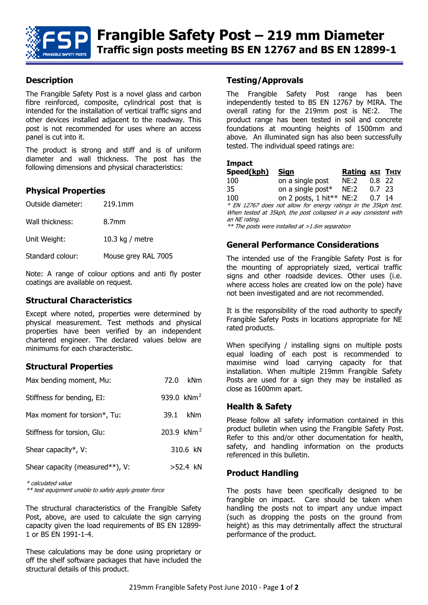

#### **Description**

The Frangible Safety Post is a novel glass and carbon fibre reinforced, composite, cylindrical post that is intended for the installation of vertical traffic signs and other devices installed adjacent to the roadway. This post is not recommended for uses where an access panel is cut into it.

The product is strong and stiff and is of uniform diameter and wall thickness. The post has the following dimensions and physical characteristics:

#### **Physical Properties**

| Outside diameter: | 219.1mm             |
|-------------------|---------------------|
| Wall thickness:   | 8.7mm               |
| Unit Weight:      | 10.3 kg / metre     |
| Standard colour:  | Mouse grey RAL 7005 |

Note: A range of colour options and anti fly poster coatings are available on request.

#### **Structural Characteristics**

Except where noted, properties were determined by physical measurement. Test methods and physical properties have been verified by an independent chartered engineer. The declared values below are minimums for each characteristic.

#### **Structural Properties**

| Max bending moment, Mu:         |                | 72.0 kNm       |
|---------------------------------|----------------|----------------|
| Stiffness for bending, EI:      | 939.0 $km^{2}$ |                |
| Max moment for torsion*, Tu:    | 39.1           | kNm            |
| Stiffness for torsion, Glu:     |                | 203.9 $km^{2}$ |
| Shear capacity*, V:             |                | 310.6 kN       |
| Shear capacity (measured**), V: |                | $>52.4$ kN     |

\* calculated value

\*\* test equipment unable to safely apply greater force

The structural characteristics of the Frangible Safety Post, above, are used to calculate the sign carrying capacity given the load requirements of BS EN 12899- 1 or BS EN 1991-1-4.

These calculations may be done using proprietary or off the shelf software packages that have included the structural details of this product.

#### **Testing/Approvals**

The Frangible Safety Post range has been independently tested to BS EN 12767 by MIRA. The overall rating for the 219mm post is NE:2. The product range has been tested in soil and concrete foundations at mounting heights of 1500mm and above. An illuminated sign has also been successfully tested. The individual speed ratings are:

| Impact                                                            |                                 |                        |          |  |  |
|-------------------------------------------------------------------|---------------------------------|------------------------|----------|--|--|
| Speed(kph)                                                        | Sian                            | <b>Rating ASI THIV</b> |          |  |  |
| 100                                                               | on a single post                | NE:2                   | $0.8$ 22 |  |  |
| 35                                                                | on a single post* $NE:2$ 0.7 23 |                        |          |  |  |
| 100                                                               | on 2 posts, $1$ hit** NE:2      |                        | $0.7$ 14 |  |  |
| * EN 12767 does not allow for energy ratings in the 35kph test.   |                                 |                        |          |  |  |
| When tested at 35kph, the post collapsed in a way consistent with |                                 |                        |          |  |  |
| an NE rating.                                                     |                                 |                        |          |  |  |
| $**$ The norte were inctalled at $\times$ 1 6m cenaration         |                                 |                        |          |  |  |

The posts were installed at  $>1.6$ m separation

#### **General Performance Considerations**

The intended use of the Frangible Safety Post is for the mounting of appropriately sized, vertical traffic signs and other roadside devices. Other uses (i.e. where access holes are created low on the pole) have not been investigated and are not recommended.

It is the responsibility of the road authority to specify Frangible Safety Posts in locations appropriate for NE rated products.

When specifying / installing signs on multiple posts equal loading of each post is recommended to maximise wind load carrying capacity for that installation. When multiple 219mm Frangible Safety Posts are used for a sign they may be installed as close as 1600mm apart.

#### **Health & Safety**

Please follow all safety information contained in this product bulletin when using the Frangible Safety Post. Refer to this and/or other documentation for health, safety, and handling information on the products referenced in this bulletin.

#### **Product Handling**

The posts have been specifically designed to be frangible on impact. Care should be taken when handling the posts not to impart any undue impact (such as dropping the posts on the ground from height) as this may detrimentally affect the structural performance of the product.